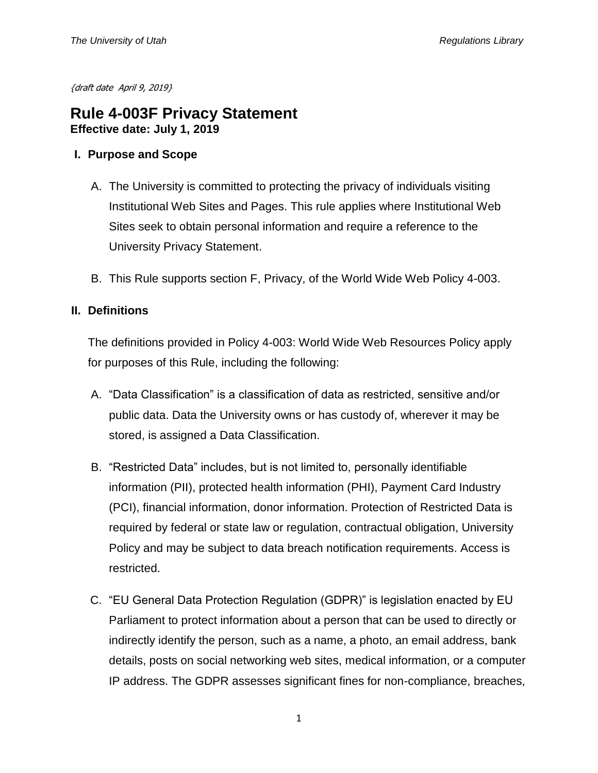{draft date April 9, 2019}

# **Rule 4-003F Privacy Statement Effective date: July 1, 2019**

#### **I. Purpose and Scope**

- A. The University is committed to protecting the privacy of individuals visiting Institutional Web Sites and Pages. This rule applies where Institutional Web Sites seek to obtain personal information and require a reference to the University Privacy Statement.
- B. This Rule supports section F, Privacy, of the World Wide Web Policy 4-003.

## **II. Definitions**

The definitions provided in Policy 4-003: World Wide Web Resources Policy apply for purposes of this Rule, including the following:

- A. "Data Classification" is a classification of data as restricted, sensitive and/or public data. Data the University owns or has custody of, wherever it may be stored, is assigned a Data Classification.
- B. "Restricted Data" includes, but is not limited to, personally identifiable information (PII), protected health information (PHI), Payment Card Industry (PCI), financial information, donor information. Protection of Restricted Data is required by federal or state law or regulation, contractual obligation, University Policy and may be subject to data breach notification requirements. Access is restricted.
- C. "EU General Data Protection Regulation (GDPR)" is legislation enacted by EU Parliament to protect information about a person that can be used to directly or indirectly identify the person, such as a name, a photo, an email address, bank details, posts on social networking web sites, medical information, or a computer IP address. The GDPR assesses significant fines for non-compliance, breaches,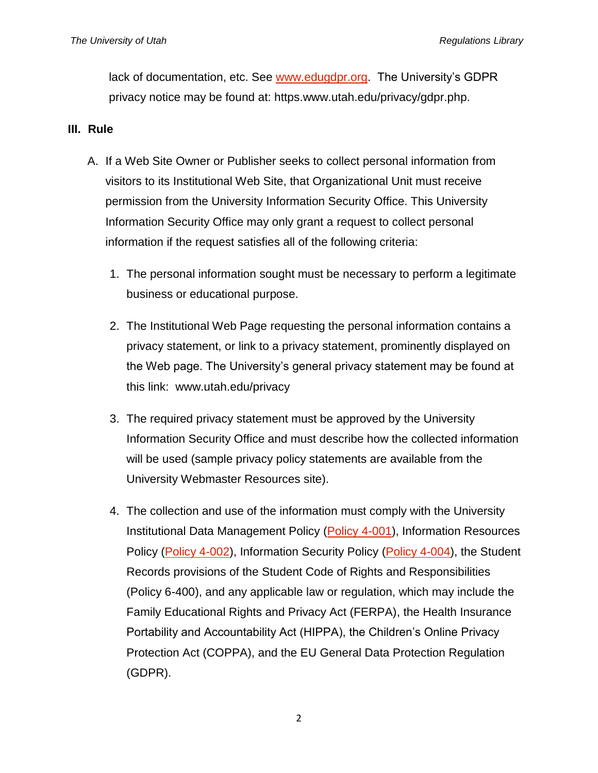lack of documentation, etc. See [www.edugdpr.org.](http://www.edugdpr.org/) The University's GDPR privacy notice may be found at: https.www.utah.edu/privacy/gdpr.php.

### **III. Rule**

- A. If a Web Site Owner or Publisher seeks to collect personal information from visitors to its Institutional Web Site, that Organizational Unit must receive permission from the University Information Security Office. This University Information Security Office may only grant a request to collect personal information if the request satisfies all of the following criteria:
	- 1. The personal information sought must be necessary to perform a legitimate business or educational purpose.
	- 2. The Institutional Web Page requesting the personal information contains a privacy statement, or link to a privacy statement, prominently displayed on the Web page. The University's general privacy statement may be found at this link: [www.utah.edu/privacy](http://www.utah.edu/privacy)
	- 3. The required privacy statement must be approved by the University Information Security Office and must describe how the collected information will be used (sample privacy policy statements are available from the University Webmaster Resources site).
	- 4. The collection and use of the information must comply with the University Institutional Data Management Policy [\(Policy 4-001\)](http://regulations.utah.edu/it/4-001.php), Information Resources Policy [\(Policy 4-002\)](http://regulations.utah.edu/it/4-002.php), Information Security Policy [\(Policy 4-004\)](https://regulations.utah.edu/it/4-004.php), the Student Records provisions of the Student Code of Rights and Responsibilities [\(Policy 6-400\)](http://regulations.utah.edu/academics/6-400.php), and any applicable law or regulation, which may include the Family Educational Rights and Privacy Act (FERPA), the Health Insurance Portability and Accountability Act (HIPPA), the Children's Online Privacy Protection Act (COPPA), and the EU General Data Protection Regulation (GDPR).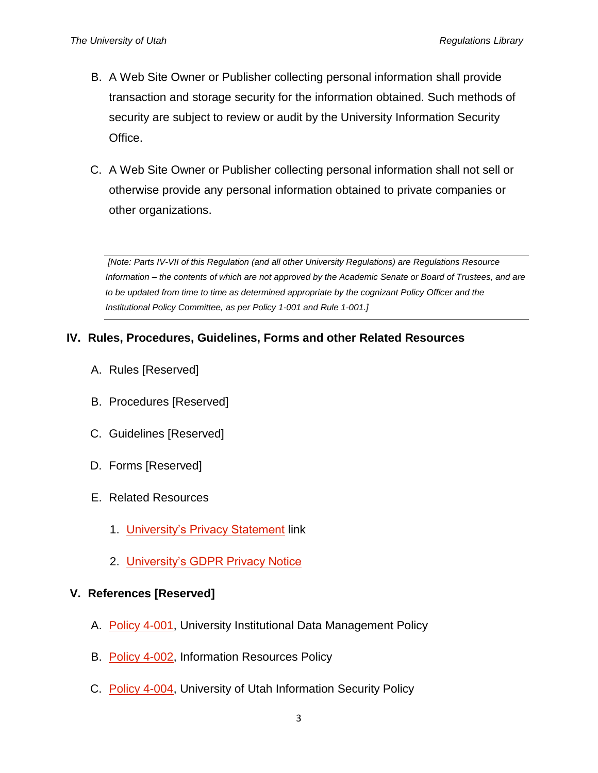- B. A Web Site Owner or Publisher collecting personal information shall provide transaction and storage security for the information obtained. Such methods of security are subject to review or audit by the University Information Security Office.
- C. A Web Site Owner or Publisher collecting personal information shall not sell or otherwise provide any personal information obtained to private companies or other organizations.

*[Note: Parts IV-VII of this Regulation (and all other University Regulations) are Regulations Resource Information – the contents of which are not approved by the Academic Senate or Board of Trustees, and are to be updated from time to time as determined appropriate by the cognizant Policy Officer and the Institutional Policy Committee, as per Policy 1-001 and Rule 1-001.]*

# **IV. Rules, Procedures, Guidelines, Forms and other Related Resources**

- A. Rules [Reserved]
- B. Procedures [Reserved]
- C. Guidelines [Reserved]
- D. Forms [Reserved]
- E. Related Resources
	- 1. [University's Privacy Statement](https://www.utah.edu/privacy/) link
	- 2. [University's GDPR Privacy Notice](https://www.utah.edu/privacy/gdpr.php)

#### **V. References [Reserved]**

- A. [Policy 4-001,](https://regulations.utah.edu/it/4-001.php) University Institutional Data Management Policy
- B. [Policy 4-002,](https://regulations.utah.edu/it/4-002.php) Information Resources Policy
- C. [Policy 4-004,](https://regulations.utah.edu/it/4-004.php) University of Utah Information Security Policy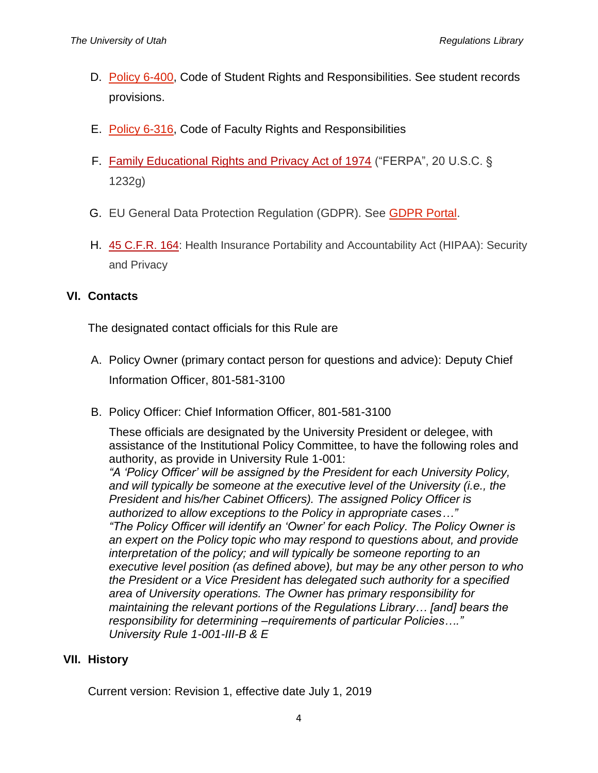- D. [Policy 6-400,](https://regulations.utah.edu/academics/6-400.php) Code of Student Rights and Responsibilities. See student records provisions.
- E. [Policy 6-316,](https://regulations.utah.edu/academics/6-316.php) Code of Faculty Rights and Responsibilities
- F. [Family Educational Rights and Privacy Act of 1974](http://www2.ed.gov/policy/gen/guid/fpco/ferpa/index.html) ("FERPA", 20 U.S.C. § 1232g)
- G. EU General Data Protection Regulation (GDPR). See [GDPR Portal.](https://www.eugdpr.org/)
- H. [45 C.F.R. 164:](http://www.gpo.gov/fdsys/pkg/CFR-2011-title45-vol1/pdf/CFR-2011-title45-vol1-part164.pdf) Health Insurance Portability and Accountability Act (HIPAA): Security and Privacy

## **VI. Contacts**

The designated contact officials for this Rule are

- A. Policy Owner (primary contact person for questions and advice): Deputy Chief Information Officer, 801-581-3100
- B. Policy Officer: Chief Information Officer, 801-581-3100

These officials are designated by the University President or delegee, with assistance of the Institutional Policy Committee, to have the following roles and authority, as provide in University Rule 1-001:

*"A 'Policy Officer' will be assigned by the President for each University Policy,*  and will typically be someone at the executive level of the University *(i.e., the President and his/her Cabinet Officers). The assigned Policy Officer is authorized to allow exceptions to the Policy in appropriate cases…" "The Policy Officer will identify an 'Owner' for each Policy. The Policy Owner is an expert on the Policy topic who may respond to questions about, and provide interpretation of the policy; and will typically be someone reporting to an executive level position (as defined above), but may be any other person to who the President or a Vice President has delegated such authority for a specified area of University operations. The Owner has primary responsibility for maintaining the relevant portions of the Regulations Library… [and] bears the responsibility for determining –requirements of particular Policies…." University Rule 1-001-III-B & E*

# **VII. History**

Current version: Revision 1, effective date July 1, 2019